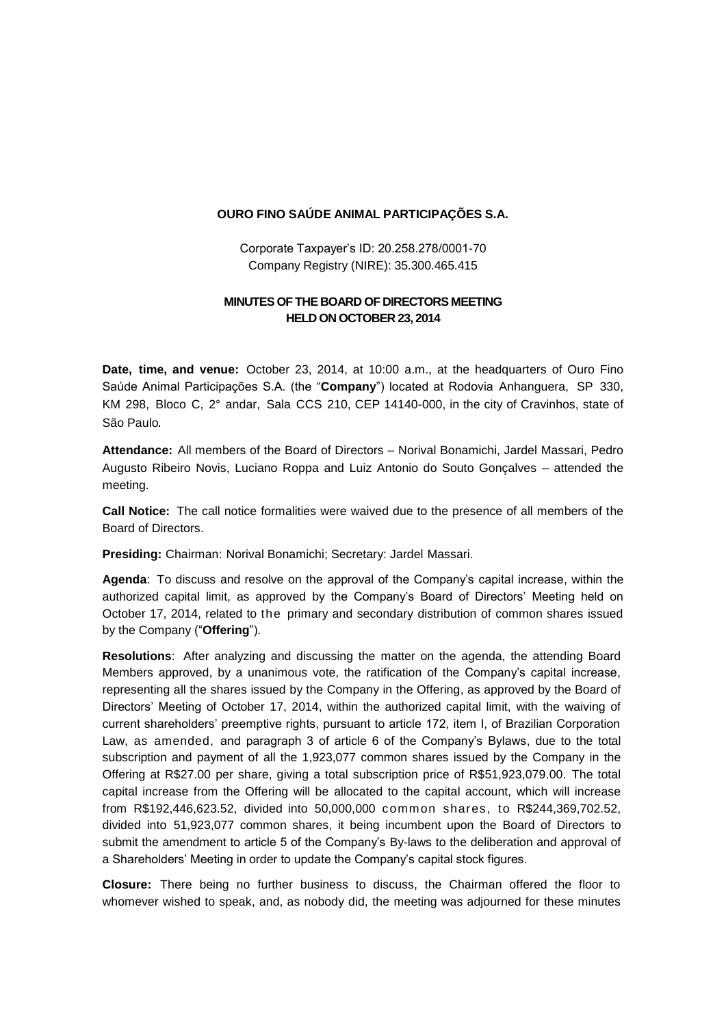## **OURO FINO SAÚDE ANIMAL PARTICIPAÇÕES S.A.**

Corporate Taxpayer's ID: 20.258.278/0001-70 Company Registry (NIRE): 35.300.465.415

## **MINUTES OF THE BOARD OF DIRECTORS MEETING HELD ON OCTOBER 23, 2014**

**Date, time, and venue:** October 23, 2014, at 10:00 a.m., at the headquarters of Ouro Fino Saúde Animal Participações S.A. (the "**Company**") located at Rodovia Anhanguera, SP 330, KM 298, Bloco C, 2° andar, Sala CCS 210, CEP 14140-000, in the city of Cravinhos, state of São Paulo.

**Attendance:** All members of the Board of Directors – Norival Bonamichi, Jardel Massari, Pedro Augusto Ribeiro Novis, Luciano Roppa and Luiz Antonio do Souto Gonçalves – attended the meeting.

**Call Notice:** The call notice formalities were waived due to the presence of all members of the Board of Directors.

**Presiding:** Chairman: Norival Bonamichi; Secretary: Jardel Massari.

**Agenda**: To discuss and resolve on the approval of the Company's capital increase, within the authorized capital limit, as approved by the Company's Board of Directors' Meeting held on October 17, 2014, related to the primary and secondary distribution of common shares issued by the Company ("**Offering**").

**Resolutions**: After analyzing and discussing the matter on the agenda, the attending Board Members approved, by a unanimous vote, the ratification of the Company's capital increase, representing all the shares issued by the Company in the Offering, as approved by the Board of Directors' Meeting of October 17, 2014, within the authorized capital limit, with the waiving of current shareholders' preemptive rights, pursuant to article 172, item I, of Brazilian Corporation Law, as amended, and paragraph 3 of article 6 of the Company's Bylaws, due to the total subscription and payment of all the 1,923,077 common shares issued by the Company in the Offering at R\$27.00 per share, giving a total subscription price of R\$51,923,079.00. The total capital increase from the Offering will be allocated to the capital account, which will increase from R\$192,446,623.52, divided into 50,000,000 common shares, to R\$244,369,702.52, divided into 51,923,077 common shares, it being incumbent upon the Board of Directors to submit the amendment to article 5 of the Company's By-laws to the deliberation and approval of a Shareholders' Meeting in order to update the Company's capital stock figures.

**Closure:** There being no further business to discuss, the Chairman offered the floor to whomever wished to speak, and, as nobody did, the meeting was adjourned for these minutes